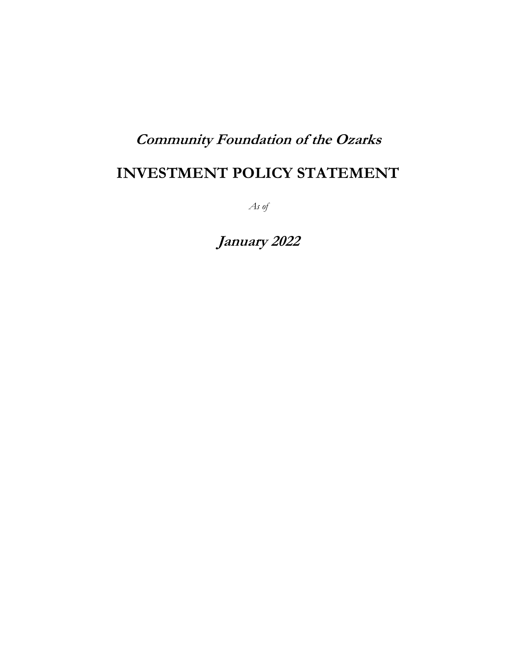# **Community Foundation of the Ozarks**

# **INVESTMENT POLICY STATEMENT**

*As of*

**January 2022**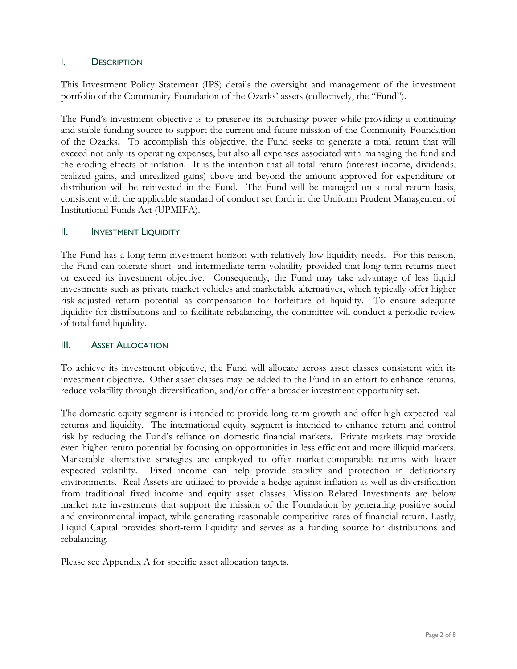#### I. DESCRIPTION

This Investment Policy Statement (IPS) details the oversight and management of the investment portfolio of the Community Foundation of the Ozarks' assets (collectively, the "Fund").

The Fund's investment objective is to preserve its purchasing power while providing a continuing and stable funding source to support the current and future mission of the Community Foundation of the Ozarks**.** To accomplish this objective, the Fund seeks to generate a total return that will exceed not only its operating expenses, but also all expenses associated with managing the fund and the eroding effects of inflation. It is the intention that all total return (interest income, dividends, realized gains, and unrealized gains) above and beyond the amount approved for expenditure or distribution will be reinvested in the Fund. The Fund will be managed on a total return basis, consistent with the applicable standard of conduct set forth in the Uniform Prudent Management of Institutional Funds Act (UPMIFA).

#### II. INVESTMENT LIQUIDITY

The Fund has a long-term investment horizon with relatively low liquidity needs. For this reason, the Fund can tolerate short- and intermediate-term volatility provided that long-term returns meet or exceed its investment objective. Consequently, the Fund may take advantage of less liquid investments such as private market vehicles and marketable alternatives, which typically offer higher risk-adjusted return potential as compensation for forfeiture of liquidity. To ensure adequate liquidity for distributions and to facilitate rebalancing, the committee will conduct a periodic review of total fund liquidity.

#### III. ASSET ALLOCATION

To achieve its investment objective, the Fund will allocate across asset classes consistent with its investment objective. Other asset classes may be added to the Fund in an effort to enhance returns, reduce volatility through diversification, and/or offer a broader investment opportunity set.

The domestic equity segment is intended to provide long-term growth and offer high expected real returns and liquidity. The international equity segment is intended to enhance return and control risk by reducing the Fund's reliance on domestic financial markets. Private markets may provide even higher return potential by focusing on opportunities in less efficient and more illiquid markets. Marketable alternative strategies are employed to offer market-comparable returns with lower expected volatility. Fixed income can help provide stability and protection in deflationary environments. Real Assets are utilized to provide a hedge against inflation as well as diversification from traditional fixed income and equity asset classes. Mission Related Investments are below market rate investments that support the mission of the Foundation by generating positive social and environmental impact, while generating reasonable competitive rates of financial return. Lastly, Liquid Capital provides short-term liquidity and serves as a funding source for distributions and rebalancing.

Please see Appendix A for specific asset allocation targets.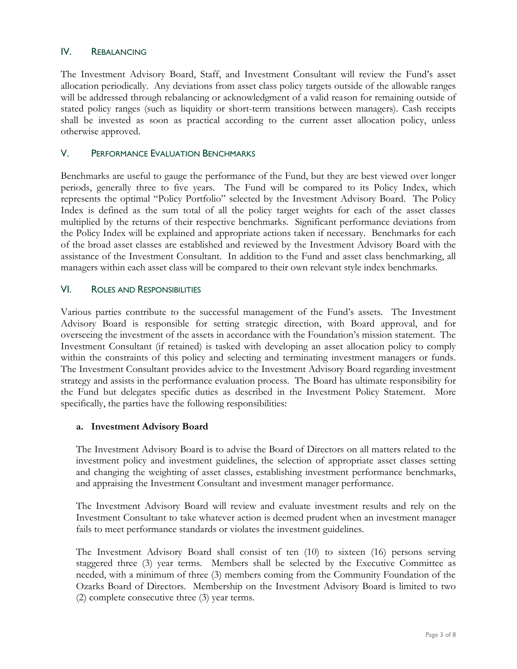#### IV. REBALANCING

The Investment Advisory Board, Staff, and Investment Consultant will review the Fund's asset allocation periodically. Any deviations from asset class policy targets outside of the allowable ranges will be addressed through rebalancing or acknowledgment of a valid reason for remaining outside of stated policy ranges (such as liquidity or short-term transitions between managers). Cash receipts shall be invested as soon as practical according to the current asset allocation policy, unless otherwise approved.

#### V. PERFORMANCE EVALUATION BENCHMARKS

Benchmarks are useful to gauge the performance of the Fund, but they are best viewed over longer periods, generally three to five years. The Fund will be compared to its Policy Index, which represents the optimal "Policy Portfolio" selected by the Investment Advisory Board. The Policy Index is defined as the sum total of all the policy target weights for each of the asset classes multiplied by the returns of their respective benchmarks. Significant performance deviations from the Policy Index will be explained and appropriate actions taken if necessary. Benchmarks for each of the broad asset classes are established and reviewed by the Investment Advisory Board with the assistance of the Investment Consultant. In addition to the Fund and asset class benchmarking, all managers within each asset class will be compared to their own relevant style index benchmarks.

#### VI. ROLES AND RESPONSIBILITIES

Various parties contribute to the successful management of the Fund's assets. The Investment Advisory Board is responsible for setting strategic direction, with Board approval, and for overseeing the investment of the assets in accordance with the Foundation's mission statement. The Investment Consultant (if retained) is tasked with developing an asset allocation policy to comply within the constraints of this policy and selecting and terminating investment managers or funds. The Investment Consultant provides advice to the Investment Advisory Board regarding investment strategy and assists in the performance evaluation process. The Board has ultimate responsibility for the Fund but delegates specific duties as described in the Investment Policy Statement. More specifically, the parties have the following responsibilities:

#### **a. Investment Advisory Board**

The Investment Advisory Board is to advise the Board of Directors on all matters related to the investment policy and investment guidelines, the selection of appropriate asset classes setting and changing the weighting of asset classes, establishing investment performance benchmarks, and appraising the Investment Consultant and investment manager performance.

The Investment Advisory Board will review and evaluate investment results and rely on the Investment Consultant to take whatever action is deemed prudent when an investment manager fails to meet performance standards or violates the investment guidelines.

The Investment Advisory Board shall consist of ten (10) to sixteen (16) persons serving staggered three (3) year terms. Members shall be selected by the Executive Committee as needed, with a minimum of three (3) members coming from the Community Foundation of the Ozarks Board of Directors. Membership on the Investment Advisory Board is limited to two (2) complete consecutive three (3) year terms.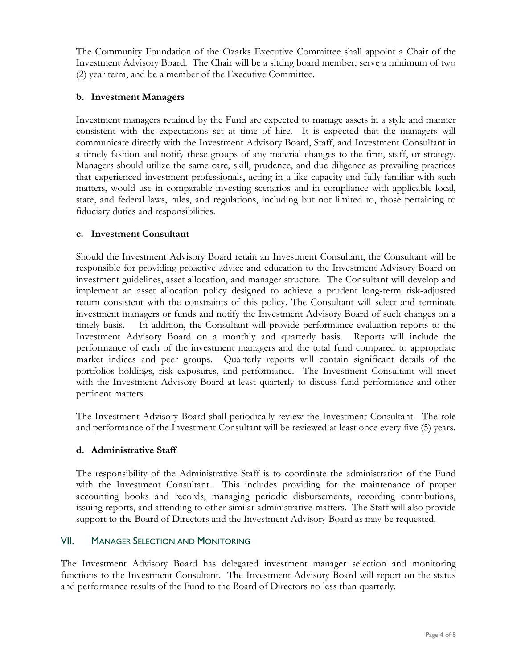The Community Foundation of the Ozarks Executive Committee shall appoint a Chair of the Investment Advisory Board. The Chair will be a sitting board member, serve a minimum of two (2) year term, and be a member of the Executive Committee.

### **b. Investment Managers**

Investment managers retained by the Fund are expected to manage assets in a style and manner consistent with the expectations set at time of hire. It is expected that the managers will communicate directly with the Investment Advisory Board, Staff, and Investment Consultant in a timely fashion and notify these groups of any material changes to the firm, staff, or strategy. Managers should utilize the same care, skill, prudence, and due diligence as prevailing practices that experienced investment professionals, acting in a like capacity and fully familiar with such matters, would use in comparable investing scenarios and in compliance with applicable local, state, and federal laws, rules, and regulations, including but not limited to, those pertaining to fiduciary duties and responsibilities.

#### **c. Investment Consultant**

Should the Investment Advisory Board retain an Investment Consultant, the Consultant will be responsible for providing proactive advice and education to the Investment Advisory Board on investment guidelines, asset allocation, and manager structure. The Consultant will develop and implement an asset allocation policy designed to achieve a prudent long-term risk-adjusted return consistent with the constraints of this policy. The Consultant will select and terminate investment managers or funds and notify the Investment Advisory Board of such changes on a timely basis. In addition, the Consultant will provide performance evaluation reports to the Investment Advisory Board on a monthly and quarterly basis. Reports will include the performance of each of the investment managers and the total fund compared to appropriate market indices and peer groups. Quarterly reports will contain significant details of the portfolios holdings, risk exposures, and performance. The Investment Consultant will meet with the Investment Advisory Board at least quarterly to discuss fund performance and other pertinent matters.

The Investment Advisory Board shall periodically review the Investment Consultant. The role and performance of the Investment Consultant will be reviewed at least once every five (5) years.

# **d. Administrative Staff**

The responsibility of the Administrative Staff is to coordinate the administration of the Fund with the Investment Consultant. This includes providing for the maintenance of proper accounting books and records, managing periodic disbursements, recording contributions, issuing reports, and attending to other similar administrative matters. The Staff will also provide support to the Board of Directors and the Investment Advisory Board as may be requested.

#### VII. MANAGER SELECTION AND MONITORING

The Investment Advisory Board has delegated investment manager selection and monitoring functions to the Investment Consultant. The Investment Advisory Board will report on the status and performance results of the Fund to the Board of Directors no less than quarterly.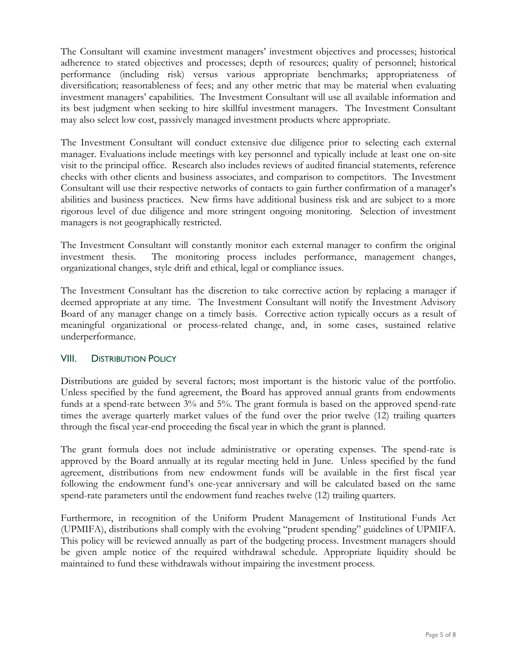The Consultant will examine investment managers' investment objectives and processes; historical adherence to stated objectives and processes; depth of resources; quality of personnel; historical performance (including risk) versus various appropriate benchmarks; appropriateness of diversification; reasonableness of fees; and any other metric that may be material when evaluating investment managers' capabilities. The Investment Consultant will use all available information and its best judgment when seeking to hire skillful investment managers. The Investment Consultant may also select low cost, passively managed investment products where appropriate.

The Investment Consultant will conduct extensive due diligence prior to selecting each external manager. Evaluations include meetings with key personnel and typically include at least one on-site visit to the principal office. Research also includes reviews of audited financial statements, reference checks with other clients and business associates, and comparison to competitors. The Investment Consultant will use their respective networks of contacts to gain further confirmation of a manager's abilities and business practices. New firms have additional business risk and are subject to a more rigorous level of due diligence and more stringent ongoing monitoring. Selection of investment managers is not geographically restricted.

The Investment Consultant will constantly monitor each external manager to confirm the original investment thesis. The monitoring process includes performance, management changes, organizational changes, style drift and ethical, legal or compliance issues.

The Investment Consultant has the discretion to take corrective action by replacing a manager if deemed appropriate at any time. The Investment Consultant will notify the Investment Advisory Board of any manager change on a timely basis. Corrective action typically occurs as a result of meaningful organizational or process-related change, and, in some cases, sustained relative underperformance.

# **VIII.** DISTRIBUTION POLICY

Distributions are guided by several factors; most important is the historic value of the portfolio. Unless specified by the fund agreement, the Board has approved annual grants from endowments funds at a spend-rate between 3% and 5%. The grant formula is based on the approved spend-rate times the average quarterly market values of the fund over the prior twelve (12) trailing quarters through the fiscal year-end proceeding the fiscal year in which the grant is planned.

The grant formula does not include administrative or operating expenses. The spend-rate is approved by the Board annually at its regular meeting held in June. Unless specified by the fund agreement, distributions from new endowment funds will be available in the first fiscal year following the endowment fund's one-year anniversary and will be calculated based on the same spend-rate parameters until the endowment fund reaches twelve (12) trailing quarters.

Furthermore, in recognition of the Uniform Prudent Management of Institutional Funds Act (UPMIFA), distributions shall comply with the evolving "prudent spending" guidelines of UPMIFA. This policy will be reviewed annually as part of the budgeting process. Investment managers should be given ample notice of the required withdrawal schedule. Appropriate liquidity should be maintained to fund these withdrawals without impairing the investment process.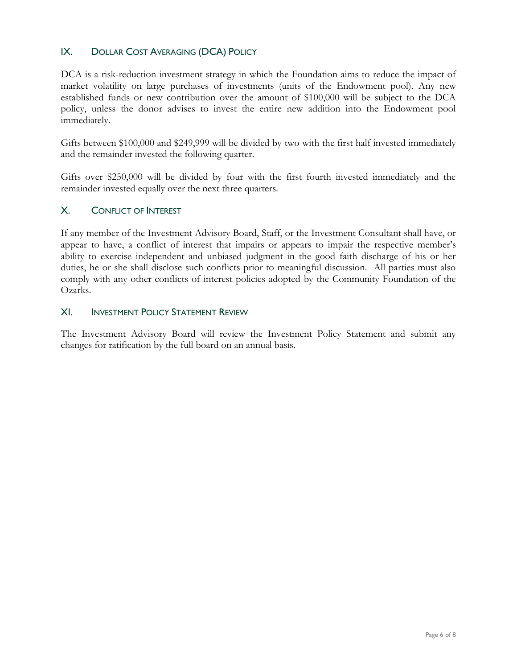# IX. DOLLAR COST AVERAGING (DCA) POLICY

DCA is a risk-reduction investment strategy in which the Foundation aims to reduce the impact of market volatility on large purchases of investments (units of the Endowment pool). Any new established funds or new contribution over the amount of \$100,000 will be subject to the DCA policy, unless the donor advises to invest the entire new addition into the Endowment pool immediately.

Gifts between \$100,000 and \$249,999 will be divided by two with the first half invested immediately and the remainder invested the following quarter.

Gifts over \$250,000 will be divided by four with the first fourth invested immediately and the remainder invested equally over the next three quarters.

#### X. CONFLICT OF INTEREST

If any member of the Investment Advisory Board, Staff, or the Investment Consultant shall have, or appear to have, a conflict of interest that impairs or appears to impair the respective member's ability to exercise independent and unbiased judgment in the good faith discharge of his or her duties, he or she shall disclose such conflicts prior to meaningful discussion. All parties must also comply with any other conflicts of interest policies adopted by the Community Foundation of the Ozarks.

#### XI. INVESTMENT POLICY STATEMENT REVIEW

The Investment Advisory Board will review the Investment Policy Statement and submit any changes for ratification by the full board on an annual basis.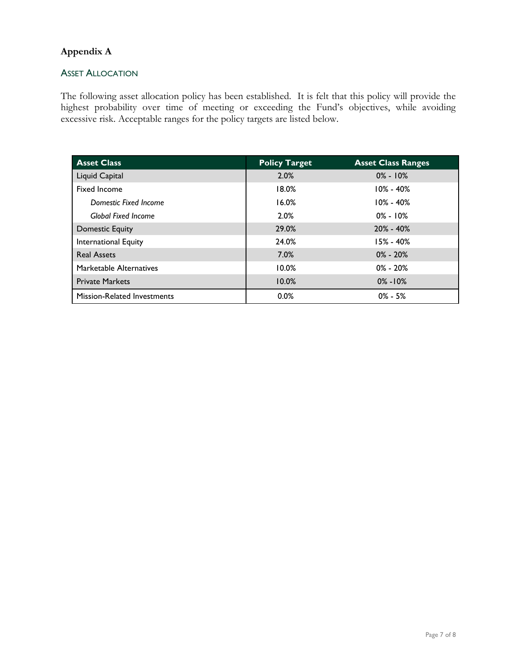# **Appendix A**

#### **ASSET ALLOCATION**

The following asset allocation policy has been established. It is felt that this policy will provide the highest probability over time of meeting or exceeding the Fund's objectives, while avoiding excessive risk. Acceptable ranges for the policy targets are listed below.

| <b>Asset Class</b>                 | <b>Policy Target</b> | <b>Asset Class Ranges</b> |
|------------------------------------|----------------------|---------------------------|
| Liquid Capital                     | 2.0%                 | $0\% - 10\%$              |
| Fixed Income                       | 18.0%                | $10\% - 40\%$             |
| Domestic Fixed Income              | 16.0%                | $10\% - 40\%$             |
| <b>Global Fixed Income</b>         | 2.0%                 | $0\% - 10\%$              |
| Domestic Equity                    | 29.0%                | $20\% - 40\%$             |
| <b>International Equity</b>        | 24.0%                | $15\% - 40\%$             |
| <b>Real Assets</b>                 | 7.0%                 | $0\% - 20\%$              |
| Marketable Alternatives            | 10.0%                | $0\% - 20\%$              |
| <b>Private Markets</b>             | 10.0%                | $0\% - 10\%$              |
| <b>Mission-Related Investments</b> | 0.0%                 | $0\% - 5\%$               |